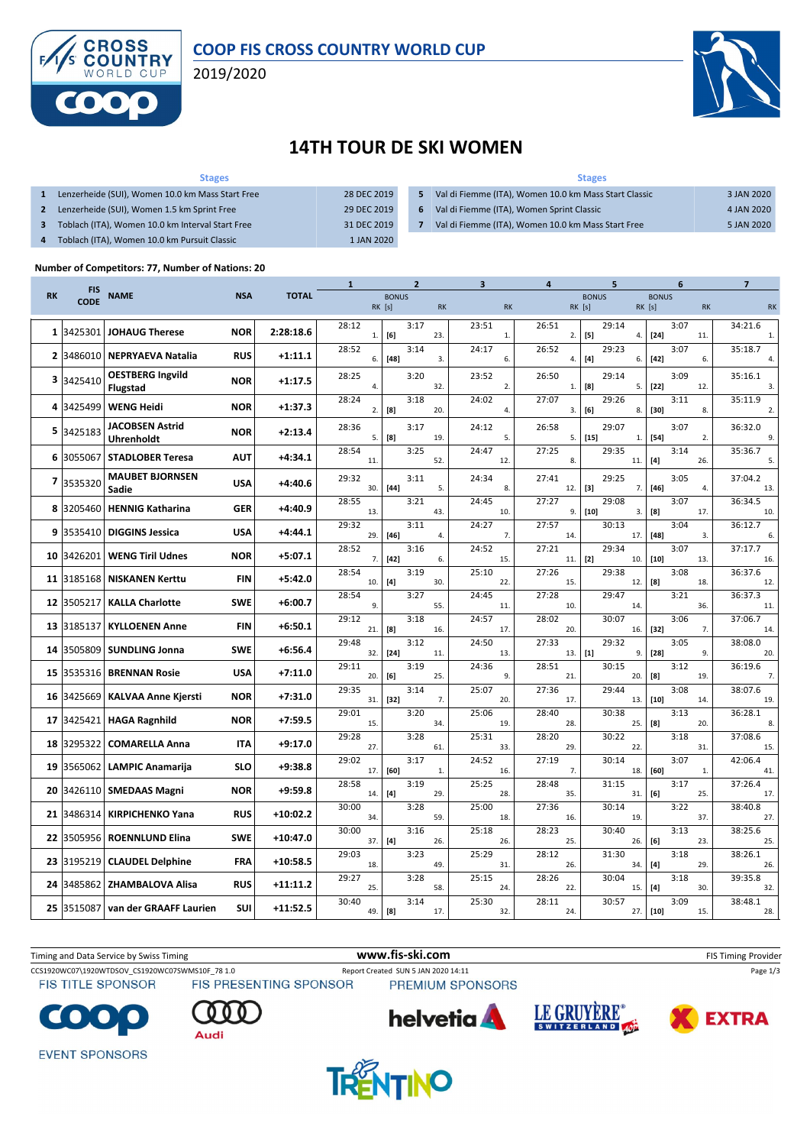

### **COOP FIS CROSS COUNTRY WORLD CUP**

2019/2020



## **14TH TOUR DE SKI WOMEN**

#### **Stages 1** Lenzerheide (SUI), Women 10.0 km Mass Start Free 28 DEC 2019 **2** Lenzerheide (SUI), Women 1.5 km Sprint Free 29 DEC 2019 **3** Toblach (ITA), Women 10.0 km Interval Start Free 31 DEC 2019 **4** Toblach (ITA), Women 10.0 km Pursuit Classic 1 JAN 2020 **Stages 5** Val di Fiemme (ITA), Women 10.0 km Mass Start Classic 3 JAN 2020 **6** Val di Fiemme (ITA), Women Sprint Classic 4 JAN 2020 **7** Val di Fiemme (ITA), Women 10.0 km Mass Start Free 5 JAN 2020

### **Number of Competitors: 77, Number of Nations: 20**

|           |                           |                                             |            |              | 1            | $\overline{2}$                                                                                                                                                                                                                                                                                                                                                                                                                                                                                                                                                                                                                                                                                                                                                                                                      |           | 3            | 4            | 5                      | 6                                   | $\overline{7}$ |
|-----------|---------------------------|---------------------------------------------|------------|--------------|--------------|---------------------------------------------------------------------------------------------------------------------------------------------------------------------------------------------------------------------------------------------------------------------------------------------------------------------------------------------------------------------------------------------------------------------------------------------------------------------------------------------------------------------------------------------------------------------------------------------------------------------------------------------------------------------------------------------------------------------------------------------------------------------------------------------------------------------|-----------|--------------|--------------|------------------------|-------------------------------------|----------------|
| <b>RK</b> | <b>FIS</b><br><b>CODE</b> | <b>NAME</b>                                 | <b>NSA</b> | <b>TOTAL</b> |              | <b>BONUS</b><br>RK [s]                                                                                                                                                                                                                                                                                                                                                                                                                                                                                                                                                                                                                                                                                                                                                                                              | <b>RK</b> | <b>RK</b>    |              | <b>BONUS</b><br>RK [s] | <b>BONUS</b><br>RK [s]<br><b>RK</b> | <b>RK</b>      |
|           | 1 3425301                 | <b>JOHAUG Therese</b>                       | <b>NOR</b> | 2:28:18.6    | 28:12<br>1.  | 3:17<br>[6]                                                                                                                                                                                                                                                                                                                                                                                                                                                                                                                                                                                                                                                                                                                                                                                                         | 23.       | 23:51<br>1.  | 26:51<br>2.  | 29:14<br>[5]<br>4.     | 3:07<br>$[24]$<br>11.               | 34:21.6<br>1.  |
|           | 2 3486010                 | <b>NEPRYAEVA Natalia</b>                    | <b>RUS</b> | $+1:11.1$    | 28:52<br>6.  | 3:14<br>[48]                                                                                                                                                                                                                                                                                                                                                                                                                                                                                                                                                                                                                                                                                                                                                                                                        | 3.        | 24:17<br>6.  | 26:52<br>4.  | 29:23<br>$[4]$<br>6.   | 3:07<br>$[42]$<br>6.                | 35:18.7<br>4.  |
|           | 3 3425410                 | <b>OESTBERG Ingvild</b><br><b>Flugstad</b>  | <b>NOR</b> | $+1:17.5$    | 28:25<br>4.  | 3:20                                                                                                                                                                                                                                                                                                                                                                                                                                                                                                                                                                                                                                                                                                                                                                                                                | 32.       | 23:52<br>2.  | 26:50<br>1.  | 29:14<br>[8]<br>5.     | 3:09<br>$[22]$<br>12.               | 35:16.1<br>3.  |
|           | 4 3425499                 | <b>WENG Heidi</b>                           | <b>NOR</b> | $+1:37.3$    | 28:24<br>2.  | 3:18<br>[8]                                                                                                                                                                                                                                                                                                                                                                                                                                                                                                                                                                                                                                                                                                                                                                                                         | 20.       | 24:02<br>4.  | 27:07<br>3.  | 29:26<br>[6]<br>8.     | 3:11<br>$[30]$<br>8.                | 35:11.9<br>2.  |
|           | 5 3425183                 | <b>JACOBSEN Astrid</b><br><b>Uhrenholdt</b> | <b>NOR</b> | $+2:13.4$    | 28:36<br>5.  | 3:17<br>[8]                                                                                                                                                                                                                                                                                                                                                                                                                                                                                                                                                                                                                                                                                                                                                                                                         | 19.       | 24:12<br>5.  | 26:58<br>5.  | 29:07<br>$[15]$<br>1.  | 3:07<br>$[54]$<br>2.                | 36:32.0<br>9.  |
|           | 6 3055067                 | <b>STADLOBER Teresa</b>                     | <b>AUT</b> | $+4:34.1$    | 28:54<br>11. | 3:25                                                                                                                                                                                                                                                                                                                                                                                                                                                                                                                                                                                                                                                                                                                                                                                                                | 52.       | 24:47<br>12. | 27:25<br>8.  | 29:35<br>11.           | 3:14<br>$[4]$<br>26.                | 35:36.7<br>5.  |
|           | 7 3535320                 | <b>MAUBET BJORNSEN</b><br>Sadie             | <b>USA</b> | $+4:40.6$    | 29:32<br>30. | 3:11<br>$[44]$                                                                                                                                                                                                                                                                                                                                                                                                                                                                                                                                                                                                                                                                                                                                                                                                      | 5.        | 24:34<br>8.  | 27:41<br>12. | 29:25<br>$[3]$<br>7.   | 3:05<br>$[46]$<br>4.                | 37:04.2<br>13. |
|           | 8 3205460                 | <b>HENNIG Katharina</b>                     | <b>GER</b> | $+4:40.9$    | 28:55<br>13. | 3:21                                                                                                                                                                                                                                                                                                                                                                                                                                                                                                                                                                                                                                                                                                                                                                                                                | 43.       | 24:45<br>10. | 27:27<br>9.  | 29:08<br>$[10]$<br>3.  | 3:07<br>[8]<br>17.                  | 36:34.5<br>10. |
|           | 9 3535410                 | <b>DIGGINS Jessica</b>                      | <b>USA</b> | $+4:44.1$    | 29:32<br>29. | 3:11<br>$[46]$                                                                                                                                                                                                                                                                                                                                                                                                                                                                                                                                                                                                                                                                                                                                                                                                      | 4.        | 24:27<br>7.  | 27:57<br>14. | 30:13<br>17.           | 3:04<br>$[48]$<br>3.                | 36:12.7<br>6.  |
| 10        | 3426201                   | <b>WENG Tiril Udnes</b>                     | <b>NOR</b> | $+5:07.1$    | 28:52<br>7.  | 3:16<br>$[42]$                                                                                                                                                                                                                                                                                                                                                                                                                                                                                                                                                                                                                                                                                                                                                                                                      | 6.        | 24:52<br>15. | 27:21<br>11. | 29:34<br>$[2]$<br>10.  | 3:07<br>$[10]$<br>13.               | 37:17.7<br>16. |
|           | 11 3185168                | <b>NISKANEN Kerttu</b>                      | <b>FIN</b> | $+5:42.0$    | 28:54<br>10. | 3:19<br>$[4] \centering% \includegraphics[width=1.0\textwidth]{images/TransY.pdf} \caption{The first two different values of $g_I$ and $g_I$ are shown in the left (upper) and the right (lower) and the right (lower) and the right (lower) and the right (lower) and the right (lower) and the right (lower) and the right (lower) and the right (lower) and the right (lower) and the right (lower) and the right (lower) and the right (lower) and the right (lower) and the right (lower) and the right (lower) and the right (lower) and the right (lower) and the right (lower) and the right (lower) and the right (lower) and the right (lower) and the right (lower) and the right (lower) and the right (lower) and the right (lower) and the right (lower) and the right (lower) and the right (lower)$ | 30.       | 25:10<br>22. | 27:26<br>15. | 29:38<br>12.           | 3:08<br>[8]<br>18.                  | 36:37.6<br>12. |
|           | 12 3505217                | <b>KALLA Charlotte</b>                      | <b>SWE</b> | $+6:00.7$    | 28:54<br>9.  | 3:27                                                                                                                                                                                                                                                                                                                                                                                                                                                                                                                                                                                                                                                                                                                                                                                                                | 55.       | 24:45<br>11. | 27:28<br>10. | 29:47<br>14.           | 3:21<br>36.                         | 36:37.3<br>11  |
|           | 13 3185137                | <b>KYLLOENEN Anne</b>                       | <b>FIN</b> | $+6:50.1$    | 29:12<br>21. | 3:18<br>[8]                                                                                                                                                                                                                                                                                                                                                                                                                                                                                                                                                                                                                                                                                                                                                                                                         | 16.       | 24:57<br>17. | 28:02<br>20. | 30:07<br>16.           | 3:06<br>$[32]$<br>7.                | 37:06.7<br>14. |
|           | 14 3505809                | <b>SUNDLING Jonna</b>                       | <b>SWE</b> | $+6:56.4$    | 29:48<br>32. | 3:12<br>$[24]$                                                                                                                                                                                                                                                                                                                                                                                                                                                                                                                                                                                                                                                                                                                                                                                                      | 11.       | 24:50<br>13. | 27:33<br>13. | 29:32<br>$[1]$<br>9.   | 3:05<br>$[28]$<br>9.                | 38:08.0<br>20. |
|           | 15 3535316                | <b>BRENNAN Rosie</b>                        | <b>USA</b> | $+7:11.0$    | 29:11<br>20. | 3:19<br>[6]                                                                                                                                                                                                                                                                                                                                                                                                                                                                                                                                                                                                                                                                                                                                                                                                         | 25.       | 24:36<br>9.  | 28:51<br>21. | 30:15<br>20.           | 3:12<br>[8]<br>19.                  | 36:19.6<br>7.  |
|           | 16 3425669                | <b>KALVAA Anne Kjersti</b>                  | <b>NOR</b> | $+7:31.0$    | 29:35<br>31. | 3:14<br>[32]                                                                                                                                                                                                                                                                                                                                                                                                                                                                                                                                                                                                                                                                                                                                                                                                        | 7.        | 25:07<br>20. | 27:36<br>17. | 29:44<br>13.           | 3:08<br>$[10]$<br>14.               | 38:07.6<br>19. |
|           |                           | 17 3425421 HAGA Ragnhild                    | <b>NOR</b> | $+7:59.5$    | 29:01<br>15. | 3:20                                                                                                                                                                                                                                                                                                                                                                                                                                                                                                                                                                                                                                                                                                                                                                                                                | 34.       | 25:06<br>19. | 28:40<br>28. | 30:38<br>25.           | 3:13<br>20.                         | 36:28.1        |
|           | 18 3295322                | <b>COMARELLA Anna</b>                       | <b>ITA</b> | +9:17.0      | 29:28<br>27. | 3:28                                                                                                                                                                                                                                                                                                                                                                                                                                                                                                                                                                                                                                                                                                                                                                                                                |           | 25:31<br>33. | 28:20<br>29. | 30:22<br>22.           | $^{[8]}$<br>3:18<br>31.             | 8.<br>37:08.6  |
|           | 19 3565062                | <b>LAMPIC Anamarija</b>                     | <b>SLO</b> | $+9:38.8$    | 29:02        | 3:17                                                                                                                                                                                                                                                                                                                                                                                                                                                                                                                                                                                                                                                                                                                                                                                                                | 61.       | 24:52        | 27:19        | 30:14                  | 3:07                                | 15.<br>42:06.4 |
| 20        | 3426110                   | <b>SMEDAAS Magni</b>                        | <b>NOR</b> | $+9:59.8$    | 17.<br>28:58 | [60]<br>3:19                                                                                                                                                                                                                                                                                                                                                                                                                                                                                                                                                                                                                                                                                                                                                                                                        | 1.        | 16.<br>25:25 | 7.<br>28:48  | 18.<br>31:15           | [60]<br>1.<br>3:17                  | 41.<br>37:26.4 |
| 21        | 3486314                   | <b>KIRPICHENKO Yana</b>                     | <b>RUS</b> | $+10:02.2$   | 14.<br>30:00 | $[4]$<br>3:28                                                                                                                                                                                                                                                                                                                                                                                                                                                                                                                                                                                                                                                                                                                                                                                                       | 29.       | 28.<br>25:00 | 35.<br>27:36 | 31.<br>30:14           | [6]<br>25.<br>3:22                  | 17.<br>38:40.8 |
|           | 22 3505956                | <b>ROENNLUND Elina</b>                      | <b>SWE</b> | $+10:47.0$   | 34.<br>30:00 | 3:16                                                                                                                                                                                                                                                                                                                                                                                                                                                                                                                                                                                                                                                                                                                                                                                                                | 59.       | 18.<br>25:18 | 16.<br>28:23 | 19.<br>30:40           | 37.<br>3:13                         | 27.<br>38:25.6 |
|           |                           |                                             |            |              | 37.<br>29:03 | $[4]$<br>3:23                                                                                                                                                                                                                                                                                                                                                                                                                                                                                                                                                                                                                                                                                                                                                                                                       | 26.       | 26.<br>25:29 | 25.<br>28:12 | 26.<br>31:30           | $[6]$<br>23.<br>3:18                | 25.<br>38:26.1 |
|           | 23 3195219                | <b>CLAUDEL Delphine</b>                     | <b>FRA</b> | $+10:58.5$   | 18.<br>29:27 | 3:28                                                                                                                                                                                                                                                                                                                                                                                                                                                                                                                                                                                                                                                                                                                                                                                                                | 49.       | 31.<br>25:15 | 26.<br>28:26 | 34.<br>30:04           | $[4]$<br>29.<br>3:18                | 26.<br>39:35.8 |
|           | 24 3485862                | <b>ZHAMBALOVA Alisa</b>                     | <b>RUS</b> | $+11:11.2$   | 25.<br>30:40 | 3:14                                                                                                                                                                                                                                                                                                                                                                                                                                                                                                                                                                                                                                                                                                                                                                                                                | 58.       | 24.<br>25:30 | 22.<br>28:11 | 15.<br>30:57           | $[4]$<br>30.<br>3:09                | 32.<br>38:48.1 |
|           | 25 3515087                | van der GRAAFF Laurien                      | <b>SUI</b> | $+11:52.5$   | 49.          | [8]                                                                                                                                                                                                                                                                                                                                                                                                                                                                                                                                                                                                                                                                                                                                                                                                                 | 17.       | 32.          | 24.          | 27.1                   | $[10]$<br>15.                       | 28.            |



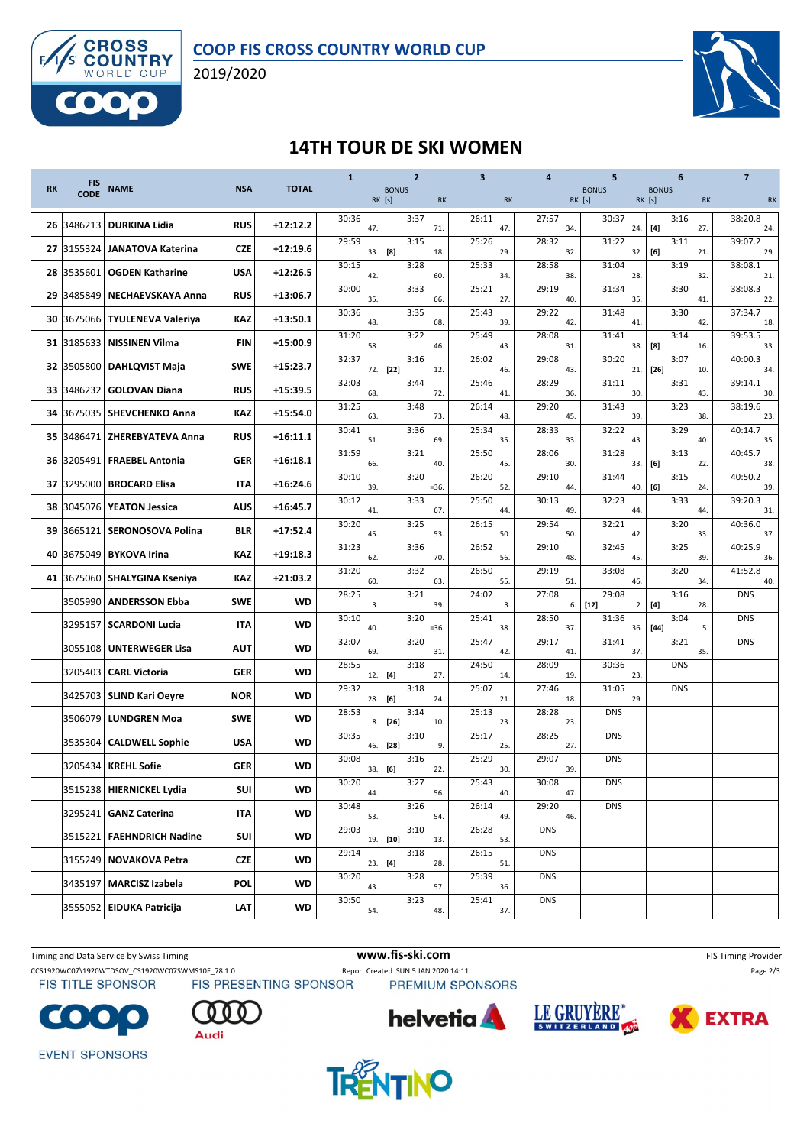

2019/2020



## **14TH TOUR DE SKI WOMEN**

|           |                           |                               |            |              | $\mathbf{1}$ | $\overline{2}$         |           | 3            | 4            | 5                     | 6                                                                                                                                                                                                                                                 | $\overline{\mathbf{z}}$ |
|-----------|---------------------------|-------------------------------|------------|--------------|--------------|------------------------|-----------|--------------|--------------|-----------------------|---------------------------------------------------------------------------------------------------------------------------------------------------------------------------------------------------------------------------------------------------|-------------------------|
| <b>RK</b> | <b>FIS</b><br><b>CODE</b> | <b>NAME</b>                   | <b>NSA</b> | <b>TOTAL</b> |              | <b>BONUS</b><br>RK [s] | <b>RK</b> | <b>RK</b>    | RK [s]       | <b>BONUS</b>          | <b>BONUS</b><br><b>RK</b> [s]<br><b>RK</b>                                                                                                                                                                                                        | <b>RK</b>               |
|           | 26 3486213                | <b>DURKINA Lidia</b>          | <b>RUS</b> | $+12:12.2$   | 30:36<br>47  | 3:37                   | 71.       | 26:11<br>47. | 27:57<br>34. | 30:37<br>24.          | 3:16<br>$[4]$<br>27.                                                                                                                                                                                                                              | 38:20.8<br>24.          |
|           | 27 3155324                | <b>JANATOVA Katerina</b>      | CZE        | $+12:19.6$   | 29:59<br>33. | 3:15<br>[8]            | 18.       | 25:26<br>29. | 28:32<br>32. | 31:22<br>32.          | 3:11<br>[6]<br>21.                                                                                                                                                                                                                                | 39:07.2<br>29.          |
|           | 28 3535601                | <b>OGDEN Katharine</b>        | <b>USA</b> | $+12:26.5$   | 30:15<br>42. | 3:28                   | 60.       | 25:33<br>34. | 28:58<br>38. | 31:04<br>28.          | 3:19<br>32.                                                                                                                                                                                                                                       | 38:08.1<br>21.          |
|           | 29 3485849                | <b>NECHAEVSKAYA Anna</b>      | <b>RUS</b> | $+13:06.7$   | 30:00<br>35. | 3:33                   | 66.       | 25:21<br>27. | 29:19<br>40. | 31:34<br>35.          | 3:30<br>41.                                                                                                                                                                                                                                       | 38:08.3<br>22.          |
|           | 30 3675066                | <b>TYULENEVA Valeriya</b>     | KAZ        | $+13:50.1$   | 30:36<br>48. | 3:35                   | 68.       | 25:43<br>39. | 29:22<br>42. | 31:48<br>41.          | 3:30<br>42.                                                                                                                                                                                                                                       | 37:34.7<br>18.          |
|           | 31 3185633                | <b>NISSINEN Vilma</b>         | <b>FIN</b> | $+15:00.9$   | 31:20<br>58. | 3:22                   | 46.       | 25:49<br>43. | 28:08<br>31. | 31:41<br>38.          | 3:14<br>[8]<br>16.                                                                                                                                                                                                                                | 39:53.5<br>33.          |
|           |                           | 32 3505800 DAHLQVIST Maja     | <b>SWE</b> | $+15:23.7$   | 32:37<br>72. | 3:16<br>[22]           | 12.       | 26:02<br>46. | 29:08<br>43. | 30:20<br>21.          | 3:07<br>$[26]$<br>10.                                                                                                                                                                                                                             | 40:00.3<br>34.          |
|           | 33 3486232                | <b>GOLOVAN Diana</b>          | <b>RUS</b> | $+15:39.5$   | 32:03<br>68. | 3:44                   | 72.       | 25:46<br>41. | 28:29<br>36. | 31:11<br>30.          | 3:31<br>43.                                                                                                                                                                                                                                       | 39:14.1<br>30.          |
|           |                           | 34  3675035   SHEVCHENKO Anna | KAZ        | $+15:54.0$   | 31:25<br>63. | 3:48                   | 73.       | 26:14<br>48. | 29:20<br>45. | 31:43<br>39.          | 3:23<br>38.                                                                                                                                                                                                                                       | 38:19.6<br>23.          |
|           | 35 3486471                | <b>ZHEREBYATEVA Anna</b>      | <b>RUS</b> | $+16:11.1$   | 30:41<br>51. | 3:36                   | 69.       | 25:34<br>35. | 28:33<br>33. | 32:22<br>43.          | 3:29<br>40.                                                                                                                                                                                                                                       | 40:14.7<br>35.          |
|           | 36 3205491                | <b>FRAEBEL Antonia</b>        | <b>GER</b> | $+16:18.1$   | 31:59<br>66. | 3:21                   | 40.       | 25:50<br>45. | 28:06<br>30. | 31:28<br>33.          | 3:13<br>[6]<br>22.                                                                                                                                                                                                                                | 40:45.7<br>38.          |
|           | 37 3295000                | <b>BROCARD Elisa</b>          | <b>ITA</b> | $+16:24.6$   | 30:10<br>39. | 3:20                   | $=36.$    | 26:20<br>52. | 29:10<br>44. | 31:44<br>40.          | 3:15<br>[6]<br>24.                                                                                                                                                                                                                                | 40:50.2<br>39.          |
|           | 38 3045076                | <b>YEATON Jessica</b>         | <b>AUS</b> | $+16:45.7$   | 30:12<br>41. | 3:33                   | 67.       | 25:50<br>44. | 30:13<br>49. | 32:23<br>44.          | 3:33<br>44.                                                                                                                                                                                                                                       | 39:20.3<br>31.          |
| 39        | 3665121                   | <b>SERONOSOVA Polina</b>      | <b>BLR</b> | $+17:52.4$   | 30:20<br>45. | 3:25                   | 53.       | 26:15<br>50. | 29:54<br>50. | 32:21<br>42.          | 3:20<br>33.                                                                                                                                                                                                                                       | 40:36.0<br>37.          |
| 40        | 3675049                   | <b>BYKOVA Irina</b>           | KAZ        | $+19:18.3$   | 31:23<br>62. | 3:36                   | 70.       | 26:52<br>56. | 29:10<br>48. | 32:45<br>45.          | 3:25<br>39.                                                                                                                                                                                                                                       | 40:25.9<br>36.          |
|           |                           | 41 3675060 SHALYGINA Kseniya  | KAZ        | $+21:03.2$   | 31:20<br>60. | 3:32                   | 63.       | 26:50<br>55. | 29:19<br>51. | 33:08<br>46.          | 3:20<br>34.                                                                                                                                                                                                                                       | 41:52.8<br>40.          |
|           | 3505990                   | <b>ANDERSSON Ebba</b>         | <b>SWE</b> | <b>WD</b>    | 28:25<br>3.  | 3:21                   | 39.       | 24:02<br>3.  | 27:08<br>6.  | 29:08<br>$[12]$<br>2. | 3:16<br>$[4] \centering% \includegraphics[width=1\textwidth]{images/TransY.pdf} \caption{The first two different values of $d=3$ and $d=4$ (left) and $d=5$ (right). The first two different values of $d=4$ (right). } \label{fig:class}$<br>28. | <b>DNS</b>              |
|           | 3295157                   | <b>SCARDONI Lucia</b>         | IΤΑ        | <b>WD</b>    | 30:10<br>40. | 3:20                   | $=36.$    | 25:41<br>38. | 28:50<br>37. | 31:36<br>36.          | 3:04<br>$[44]$<br>5.                                                                                                                                                                                                                              | <b>DNS</b>              |
|           | 3055108                   | <b>UNTERWEGER Lisa</b>        | <b>AUT</b> | <b>WD</b>    | 32:07<br>69. | 3:20                   | 31.       | 25:47<br>42. | 29:17<br>41. | 31:41<br>37.          | 3:21<br>35.                                                                                                                                                                                                                                       | <b>DNS</b>              |
|           | 3205403                   | <b>CARL Victoria</b>          | <b>GER</b> | <b>WD</b>    | 28:55<br>12. | 3:18<br>$[4]$          | 27.       | 24:50<br>14. | 28:09<br>19. | 30:36<br>23.          | <b>DNS</b>                                                                                                                                                                                                                                        |                         |
|           |                           | 3425703 SLIND Kari Oeyre      | <b>NOR</b> | <b>WD</b>    | 29:32<br>28. | 3:18<br>[6]            | 24.       | 25:07<br>21. | 27:46<br>18. | 31:05<br>29.          | <b>DNS</b>                                                                                                                                                                                                                                        |                         |
|           | 3506079                   | <b>LUNDGREN Moa</b>           | <b>SWE</b> | <b>WD</b>    | 28:53<br>8.  | 3:14<br>$[26]$         | 10.       | 25:13<br>23. | 28:28<br>23. | <b>DNS</b>            |                                                                                                                                                                                                                                                   |                         |
|           | 3535304                   | <b>CALDWELL Sophie</b>        | <b>USA</b> | <b>WD</b>    | 30:35<br>46. | 3:10<br>[28]           | 9.        | 25:17<br>25. | 28:25<br>27. | <b>DNS</b>            |                                                                                                                                                                                                                                                   |                         |
|           | 3205434                   | <b>KREHL Sofie</b>            | <b>GER</b> | <b>WD</b>    | 30:08<br>38. | 3:16<br>[6]            | 22.       | 25:29<br>30. | 29:07<br>39. | <b>DNS</b>            |                                                                                                                                                                                                                                                   |                         |
|           |                           | 3515238 HIERNICKEL Lydia      | SUI        | WD           | 30:20<br>44. | 3:27                   | 56.       | 25:43<br>40. | 30:08<br>47. | <b>DNS</b>            |                                                                                                                                                                                                                                                   |                         |
|           |                           | 3295241 GANZ Caterina         | IΤΑ        | WD           | 30:48<br>53. | 3:26                   | 54.       | 26:14<br>49. | 29:20<br>46. | <b>DNS</b>            |                                                                                                                                                                                                                                                   |                         |
|           |                           | 3515221 FAEHNDRICH Nadine     | SUI        | WD           | 29:03        | 3:10<br>19. [10]       | 13.       | 26:28<br>53. | <b>DNS</b>   |                       |                                                                                                                                                                                                                                                   |                         |
|           |                           | 3155249 NOVAKOVA Petra        | <b>CZE</b> | WD           | 29:14<br>23. | 3:18<br>[4]            | 28.       | 26:15<br>51. | <b>DNS</b>   |                       |                                                                                                                                                                                                                                                   |                         |
|           |                           | 3435197   MARCISZ Izabela     | <b>POL</b> | WD           | 30:20<br>43. | 3:28                   | 57.       | 25:39<br>36. | <b>DNS</b>   |                       |                                                                                                                                                                                                                                                   |                         |
|           |                           | 3555052 EIDUKA Patricija      | LAT        | WD           | 30:50<br>54. | 3:23                   | 48.       | 25:41<br>37. | <b>DNS</b>   |                       |                                                                                                                                                                                                                                                   |                         |